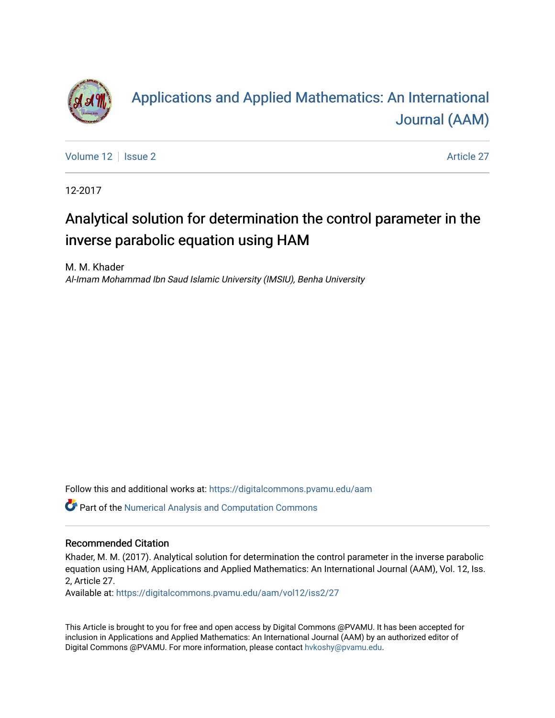

# [Applications and Applied Mathematics: An International](https://digitalcommons.pvamu.edu/aam)  [Journal \(AAM\)](https://digitalcommons.pvamu.edu/aam)

[Volume 12](https://digitalcommons.pvamu.edu/aam/vol12) | [Issue 2](https://digitalcommons.pvamu.edu/aam/vol12/iss2) Article 27

12-2017

# Analytical solution for determination the control parameter in the inverse parabolic equation using HAM

M. M. Khader Al-Imam Mohammad Ibn Saud Islamic University (IMSIU), Benha University

Follow this and additional works at: [https://digitalcommons.pvamu.edu/aam](https://digitalcommons.pvamu.edu/aam?utm_source=digitalcommons.pvamu.edu%2Faam%2Fvol12%2Fiss2%2F27&utm_medium=PDF&utm_campaign=PDFCoverPages) 

Part of the [Numerical Analysis and Computation Commons](http://network.bepress.com/hgg/discipline/119?utm_source=digitalcommons.pvamu.edu%2Faam%2Fvol12%2Fiss2%2F27&utm_medium=PDF&utm_campaign=PDFCoverPages) 

### Recommended Citation

Khader, M. M. (2017). Analytical solution for determination the control parameter in the inverse parabolic equation using HAM, Applications and Applied Mathematics: An International Journal (AAM), Vol. 12, Iss. 2, Article 27.

Available at: [https://digitalcommons.pvamu.edu/aam/vol12/iss2/27](https://digitalcommons.pvamu.edu/aam/vol12/iss2/27?utm_source=digitalcommons.pvamu.edu%2Faam%2Fvol12%2Fiss2%2F27&utm_medium=PDF&utm_campaign=PDFCoverPages)

This Article is brought to you for free and open access by Digital Commons @PVAMU. It has been accepted for inclusion in Applications and Applied Mathematics: An International Journal (AAM) by an authorized editor of Digital Commons @PVAMU. For more information, please contact [hvkoshy@pvamu.edu.](mailto:hvkoshy@pvamu.edu)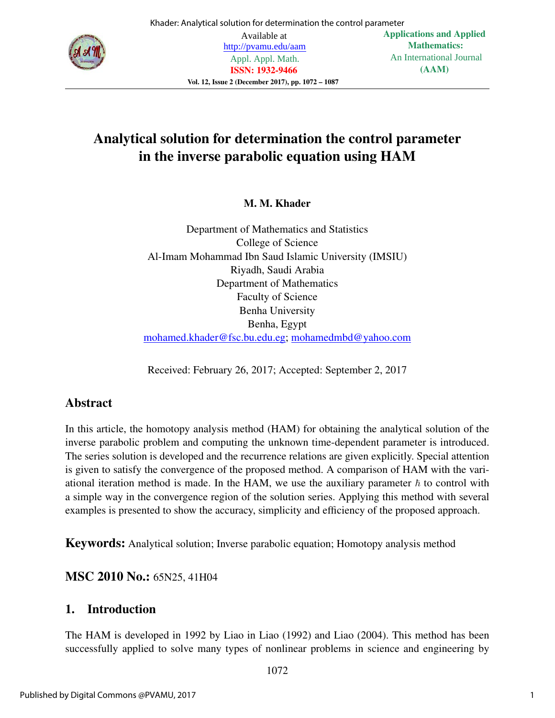

# Analytical solution for determination the control parameter in the inverse parabolic equation using HAM

# M. M. Khader

Department of Mathematics and Statistics College of Science Al-Imam Mohammad Ibn Saud Islamic University (IMSIU) Riyadh, Saudi Arabia Department of Mathematics Faculty of Science Benha University Benha, Egypt mohamed.khader@fsc.bu.edu.eg; mohamedmbd@yahoo.com

Received: February 26, 2017; Accepted: September 2, 2017

# Abstract

In this article, the homotopy analysis method (HAM) for obtaining the analytical solution of the inverse parabolic problem and computing the unknown time-dependent parameter is introduced. The series solution is developed and the recurrence relations are given explicitly. Special attention is given to satisfy the convergence of the proposed method. A comparison of HAM with the variational iteration method is made. In the HAM, we use the auxiliary parameter  $\hbar$  to control with a simple way in the convergence region of the solution series. Applying this method with several examples is presented to show the accuracy, simplicity and efficiency of the proposed approach.

Keywords: Analytical solution; Inverse parabolic equation; Homotopy analysis method

# MSC 2010 No.: 65N25, 41H04

# 1. Introduction

The HAM is developed in 1992 by Liao in Liao (1992) and Liao (2004). This method has been successfully applied to solve many types of nonlinear problems in science and engineering by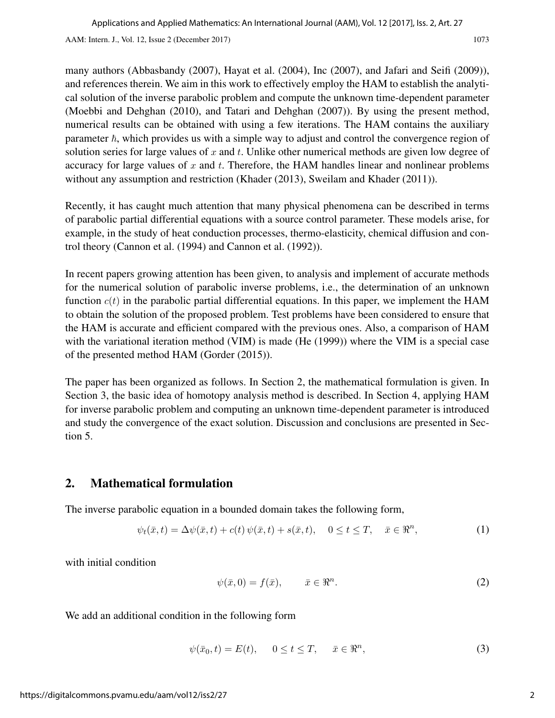many authors (Abbasbandy (2007), Hayat et al. (2004), Inc (2007), and Jafari and Seifi (2009)), and references therein. We aim in this work to effectively employ the HAM to establish the analytical solution of the inverse parabolic problem and compute the unknown time-dependent parameter (Moebbi and Dehghan (2010), and Tatari and Dehghan (2007)). By using the present method, numerical results can be obtained with using a few iterations. The HAM contains the auxiliary parameter  $\hbar$ , which provides us with a simple way to adjust and control the convergence region of solution series for large values of  $x$  and  $t$ . Unlike other numerical methods are given low degree of accuracy for large values of  $x$  and  $t$ . Therefore, the HAM handles linear and nonlinear problems without any assumption and restriction (Khader (2013), Sweilam and Khader (2011)).

Recently, it has caught much attention that many physical phenomena can be described in terms of parabolic partial differential equations with a source control parameter. These models arise, for example, in the study of heat conduction processes, thermo-elasticity, chemical diffusion and control theory (Cannon et al. (1994) and Cannon et al. (1992)).

In recent papers growing attention has been given, to analysis and implement of accurate methods for the numerical solution of parabolic inverse problems, i.e., the determination of an unknown function  $c(t)$  in the parabolic partial differential equations. In this paper, we implement the HAM to obtain the solution of the proposed problem. Test problems have been considered to ensure that the HAM is accurate and efficient compared with the previous ones. Also, a comparison of HAM with the variational iteration method (VIM) is made (He (1999)) where the VIM is a special case of the presented method HAM (Gorder (2015)).

The paper has been organized as follows. In Section 2, the mathematical formulation is given. In Section 3, the basic idea of homotopy analysis method is described. In Section 4, applying HAM for inverse parabolic problem and computing an unknown time-dependent parameter is introduced and study the convergence of the exact solution. Discussion and conclusions are presented in Section 5.

# 2. Mathematical formulation

The inverse parabolic equation in a bounded domain takes the following form,

$$
\psi_t(\bar{x},t) = \Delta \psi(\bar{x},t) + c(t)\,\psi(\bar{x},t) + s(\bar{x},t), \quad 0 \le t \le T, \quad \bar{x} \in \mathbb{R}^n,\tag{1}
$$

with initial condition

$$
\psi(\bar{x},0) = f(\bar{x}), \qquad \bar{x} \in \mathbb{R}^n. \tag{2}
$$

We add an additional condition in the following form

$$
\psi(\bar{x}_0, t) = E(t), \qquad 0 \le t \le T, \qquad \bar{x} \in \Re^n,
$$
\n(3)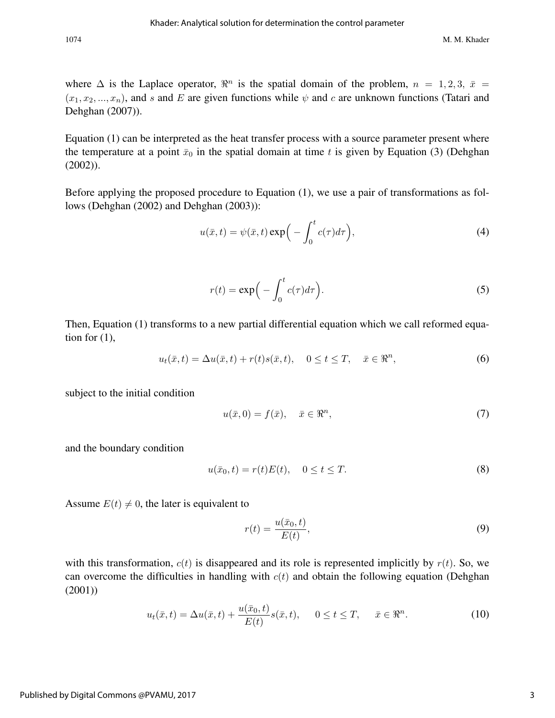where  $\Delta$  is the Laplace operator,  $\mathbb{R}^n$  is the spatial domain of the problem,  $n = 1, 2, 3, \bar{x} =$  $(x_1, x_2, ..., x_n)$ , and s and E are given functions while  $\psi$  and c are unknown functions (Tatari and Dehghan (2007)).

Equation (1) can be interpreted as the heat transfer process with a source parameter present where the temperature at a point  $\bar{x}_0$  in the spatial domain at time t is given by Equation (3) (Dehghan (2002)).

Before applying the proposed procedure to Equation (1), we use a pair of transformations as follows (Dehghan (2002) and Dehghan (2003)):

$$
u(\bar{x},t) = \psi(\bar{x},t) \exp\Big(-\int_0^t c(\tau)d\tau\Big),\tag{4}
$$

$$
r(t) = \exp\left(-\int_0^t c(\tau)d\tau\right).
$$
 (5)

Then, Equation (1) transforms to a new partial differential equation which we call reformed equation for  $(1)$ ,

$$
u_t(\bar{x},t) = \Delta u(\bar{x},t) + r(t)s(\bar{x},t), \quad 0 \le t \le T, \quad \bar{x} \in \Re^n,
$$
\n
$$
(6)
$$

subject to the initial condition

$$
u(\bar{x},0) = f(\bar{x}), \quad \bar{x} \in \mathbb{R}^n,
$$
\n<sup>(7)</sup>

and the boundary condition

$$
u(\bar{x}_0, t) = r(t)E(t), \quad 0 \le t \le T.
$$
\n
$$
(8)
$$

Assume  $E(t) \neq 0$ , the later is equivalent to

$$
r(t) = \frac{u(\bar{x}_0, t)}{E(t)},
$$
\n(9)

with this transformation,  $c(t)$  is disappeared and its role is represented implicitly by  $r(t)$ . So, we can overcome the difficulties in handling with  $c(t)$  and obtain the following equation (Dehghan (2001))

$$
u_t(\bar{x},t) = \Delta u(\bar{x},t) + \frac{u(\bar{x}_0,t)}{E(t)}s(\bar{x},t), \quad 0 \le t \le T, \quad \bar{x} \in \mathbb{R}^n.
$$
 (10)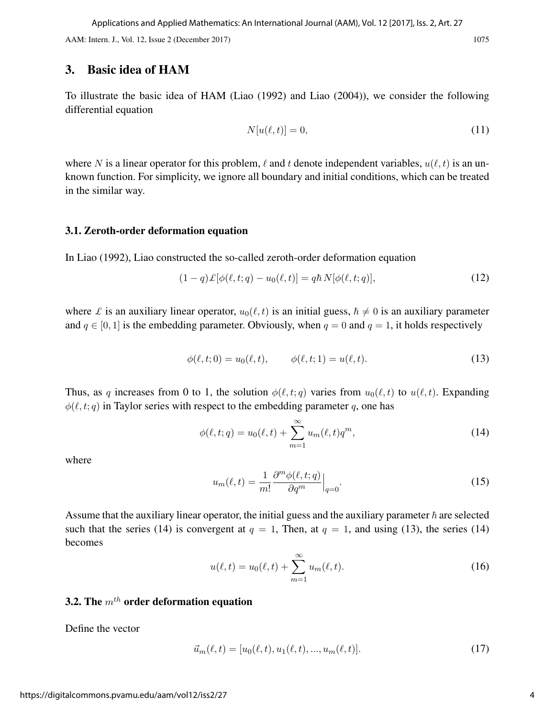### 3. Basic idea of HAM

To illustrate the basic idea of HAM (Liao (1992) and Liao (2004)), we consider the following differential equation

$$
N[u(\ell,t)] = 0,\t(11)
$$

where N is a linear operator for this problem,  $\ell$  and t denote independent variables,  $u(\ell, t)$  is an unknown function. For simplicity, we ignore all boundary and initial conditions, which can be treated in the similar way.

#### 3.1. Zeroth-order deformation equation

In Liao (1992), Liao constructed the so-called zeroth-order deformation equation

$$
(1-q)\mathcal{L}[\phi(\ell,t;q) - u_0(\ell,t)] = q\hbar N[\phi(\ell,t;q)],\qquad (12)
$$

where *£* is an auxiliary linear operator,  $u_0(\ell, t)$  is an initial guess,  $\hbar \neq 0$  is an auxiliary parameter and  $q \in [0, 1]$  is the embedding parameter. Obviously, when  $q = 0$  and  $q = 1$ , it holds respectively

$$
\phi(\ell, t; 0) = u_0(\ell, t), \qquad \phi(\ell, t; 1) = u(\ell, t). \tag{13}
$$

Thus, as q increases from 0 to 1, the solution  $\phi(\ell, t; q)$  varies from  $u_0(\ell, t)$  to  $u(\ell, t)$ . Expanding  $\phi(\ell, t; q)$  in Taylor series with respect to the embedding parameter q, one has

$$
\phi(\ell, t; q) = u_0(\ell, t) + \sum_{m=1}^{\infty} u_m(\ell, t) q^m,
$$
\n(14)

where

$$
u_m(\ell, t) = \frac{1}{m!} \frac{\partial^m \phi(\ell, t; q)}{\partial q^m} \Big|_{q=0}.
$$
\n(15)

Assume that the auxiliary linear operator, the initial guess and the auxiliary parameter  $\hbar$  are selected such that the series (14) is convergent at  $q = 1$ , Then, at  $q = 1$ , and using (13), the series (14) becomes

$$
u(\ell, t) = u_0(\ell, t) + \sum_{m=1}^{\infty} u_m(\ell, t).
$$
 (16)

# 3.2. The  $m^{th}$  order deformation equation

Define the vector

$$
\vec{u}_m(\ell, t) = [u_0(\ell, t), u_1(\ell, t), ..., u_m(\ell, t)].
$$
\n(17)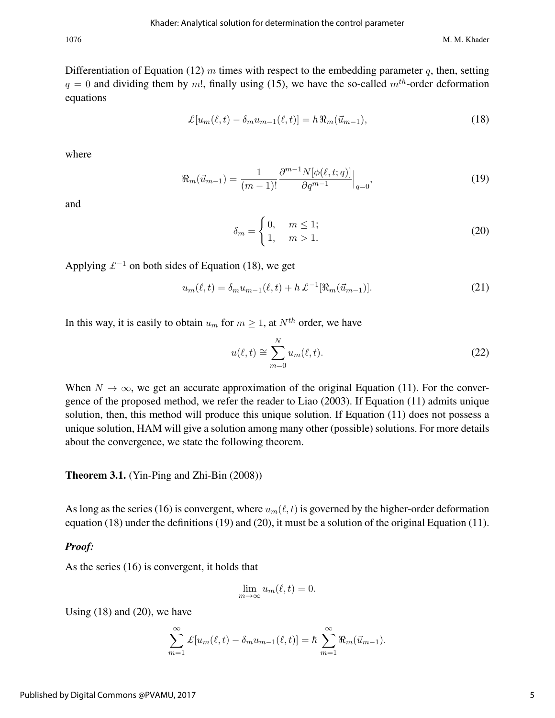1076 M. M. Khader

Differentiation of Equation (12) m times with respect to the embedding parameter q, then, setting  $q = 0$  and dividing them by m!, finally using (15), we have the so-called  $m<sup>th</sup>$ -order deformation equations

$$
\mathcal{L}[u_m(\ell,t) - \delta_m u_{m-1}(\ell,t)] = \hbar \, \Re_m(\vec{u}_{m-1}),\tag{18}
$$

where

$$
\Re_m(\vec{u}_{m-1}) = \frac{1}{(m-1)!} \frac{\partial^{m-1} N[\phi(\ell, t; q)]}{\partial q^{m-1}} \Big|_{q=0},\tag{19}
$$

and

$$
\delta_m = \begin{cases} 0, & m \le 1; \\ 1, & m > 1. \end{cases}
$$
 (20)

Applying  $\mathcal{L}^{-1}$  on both sides of Equation (18), we get

$$
u_m(\ell, t) = \delta_m u_{m-1}(\ell, t) + \hbar \, \pounds^{-1} [\Re_m(\vec{u}_{m-1})]. \tag{21}
$$

In this way, it is easily to obtain  $u_m$  for  $m \geq 1$ , at  $N^{th}$  order, we have

$$
u(\ell, t) \cong \sum_{m=0}^{N} u_m(\ell, t). \tag{22}
$$

When  $N \to \infty$ , we get an accurate approximation of the original Equation (11). For the convergence of the proposed method, we refer the reader to Liao (2003). If Equation (11) admits unique solution, then, this method will produce this unique solution. If Equation (11) does not possess a unique solution, HAM will give a solution among many other (possible) solutions. For more details about the convergence, we state the following theorem.

Theorem 3.1. (Yin-Ping and Zhi-Bin (2008))

As long as the series (16) is convergent, where  $u_m(\ell, t)$  is governed by the higher-order deformation equation (18) under the definitions (19) and (20), it must be a solution of the original Equation (11).

#### *Proof:*

As the series (16) is convergent, it holds that

$$
\lim_{m \to \infty} u_m(\ell, t) = 0.
$$

Using  $(18)$  and  $(20)$ , we have

$$
\sum_{m=1}^{\infty} \mathcal{L}[u_m(\ell,t) - \delta_m u_{m-1}(\ell,t)] = \hbar \sum_{m=1}^{\infty} \Re_m(\vec{u}_{m-1}).
$$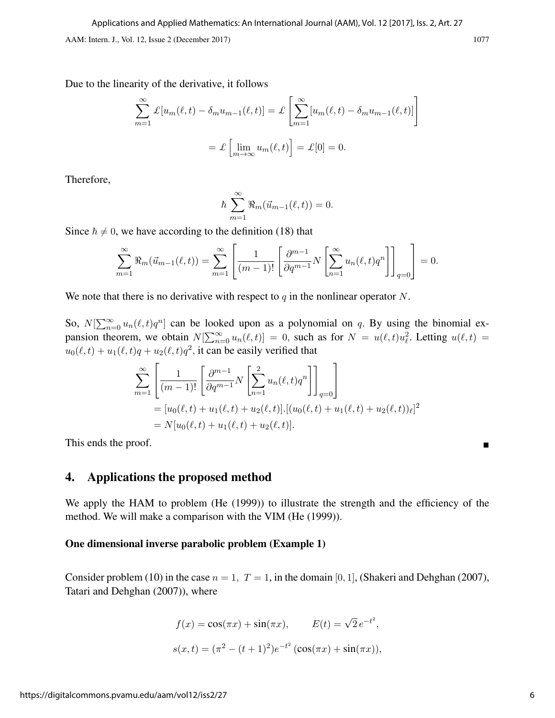Due to the linearity of the derivative, it follows

$$
\sum_{m=1}^{\infty} \mathcal{L}[u_m(\ell, t) - \delta_m u_{m-1}(\ell, t)] = \mathcal{L}\left[\sum_{m=1}^{\infty} [u_m(\ell, t) - \delta_m u_{m-1}(\ell, t)]\right]
$$

$$
= \mathcal{L}\left[\lim_{m \to \infty} u_m(\ell, t)\right] = \mathcal{L}[0] = 0.
$$

Therefore,

$$
\hbar \sum_{m=1}^{\infty} \Re_m(\vec{u}_{m-1}(\ell,t)) = 0.
$$

Since  $\hbar \neq 0$ , we have according to the definition (18) that

$$
\sum_{m=1}^{\infty} \Re_m(\vec{u}_{m-1}(\ell, t)) = \sum_{m=1}^{\infty} \left[ \frac{1}{(m-1)!} \left[ \frac{\partial^{m-1}}{\partial q^{m-1}} N \left[ \sum_{n=1}^{\infty} u_n(\ell, t) q^n \right] \right]_{q=0} \right] = 0.
$$

We note that there is no derivative with respect to q in the nonlinear operator N.

So,  $N[\sum_{n=0}^{\infty} u_n(\ell, t)q^n]$  can be looked upon as a polynomial on q. By using the binomial expansion theorem, we obtain  $N[\sum_{n=0}^{\infty} u_n(\ell, t)] = 0$ , such as for  $N = u(\ell, t)u_{\ell}^2$ . Letting  $u(\ell, t) =$  $u_0(\ell, t) + u_1(\ell, t)q + u_2(\ell, t)q^2$ , it can be easily verified that

$$
\sum_{m=1}^{\infty} \left[ \frac{1}{(m-1)!} \left[ \frac{\partial^{m-1}}{\partial q^{m-1}} N \left[ \sum_{n=1}^{2} u_n(\ell, t) q^n \right] \right]_{q=0} \right]
$$
  
=  $[u_0(\ell, t) + u_1(\ell, t) + u_2(\ell, t)] \cdot [(u_0(\ell, t) + u_1(\ell, t) + u_2(\ell, t))_{\ell}]^2$   
=  $N[u_0(\ell, t) + u_1(\ell, t) + u_2(\ell, t)].$ 

This ends the proof.

## 4. Applications the proposed method

We apply the HAM to problem (He (1999)) to illustrate the strength and the efficiency of the method. We will make a comparison with the VIM (He (1999)).

#### One dimensional inverse parabolic problem (Example 1)

Consider problem (10) in the case  $n = 1$ ,  $T = 1$ , in the domain [0, 1], (Shakeri and Dehghan (2007), Tatari and Dehghan (2007)), where

$$
f(x) = \cos(\pi x) + \sin(\pi x), \qquad E(t) = \sqrt{2} e^{-t^2},
$$
  

$$
s(x,t) = (\pi^2 - (t+1)^2)e^{-t^2} (\cos(\pi x) + \sin(\pi x)),
$$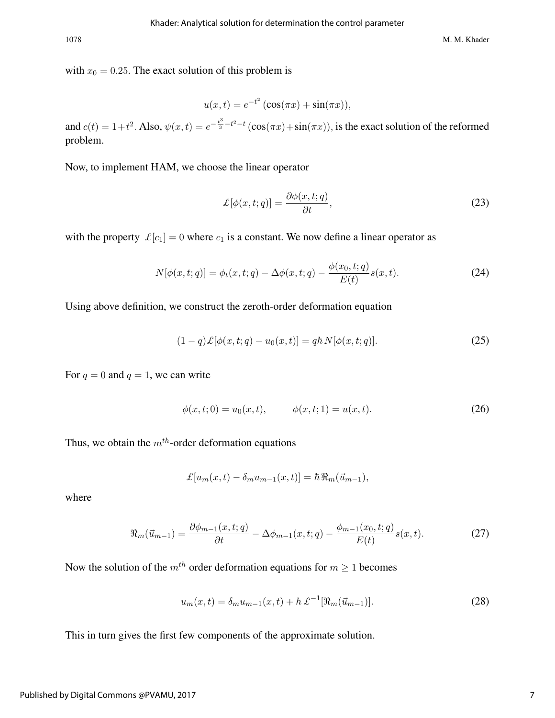with  $x_0 = 0.25$ . The exact solution of this problem is

$$
u(x,t) = e^{-t^2} (\cos(\pi x) + \sin(\pi x)),
$$

and  $c(t) = 1+t^2$ . Also,  $\psi(x,t) = e^{-\frac{t^3}{3}-t^2-t}(\cos(\pi x) + \sin(\pi x))$ , is the exact solution of the reformed problem.

Now, to implement HAM, we choose the linear operator

$$
\mathcal{L}[\phi(x,t;q)] = \frac{\partial \phi(x,t;q)}{\partial t},\tag{23}
$$

with the property  $\mathcal{L}[c_1] = 0$  where  $c_1$  is a constant. We now define a linear operator as

$$
N[\phi(x, t; q)] = \phi_t(x, t; q) - \Delta\phi(x, t; q) - \frac{\phi(x_0, t; q)}{E(t)}s(x, t).
$$
 (24)

Using above definition, we construct the zeroth-order deformation equation

$$
(1-q)\pounds[\phi(x,t;q) - u_0(x,t)] = q\hbar N[\phi(x,t;q)].
$$
\n(25)

For  $q = 0$  and  $q = 1$ , we can write

$$
\phi(x,t;0) = u_0(x,t), \qquad \phi(x,t;1) = u(x,t). \tag{26}
$$

Thus, we obtain the  $m^{th}$ -order deformation equations

$$
\mathcal{L}[u_m(x,t) - \delta_m u_{m-1}(x,t)] = \hbar \, \Re_m(\vec{u}_{m-1}),
$$

where

$$
\Re_m(\vec{u}_{m-1}) = \frac{\partial \phi_{m-1}(x, t; q)}{\partial t} - \Delta \phi_{m-1}(x, t; q) - \frac{\phi_{m-1}(x_0, t; q)}{E(t)} s(x, t).
$$
 (27)

Now the solution of the  $m<sup>th</sup>$  order deformation equations for  $m \ge 1$  becomes

$$
u_m(x,t) = \delta_m u_{m-1}(x,t) + \hbar \, \mathcal{L}^{-1}[\Re_m(\vec{u}_{m-1})].\tag{28}
$$

This in turn gives the first few components of the approximate solution.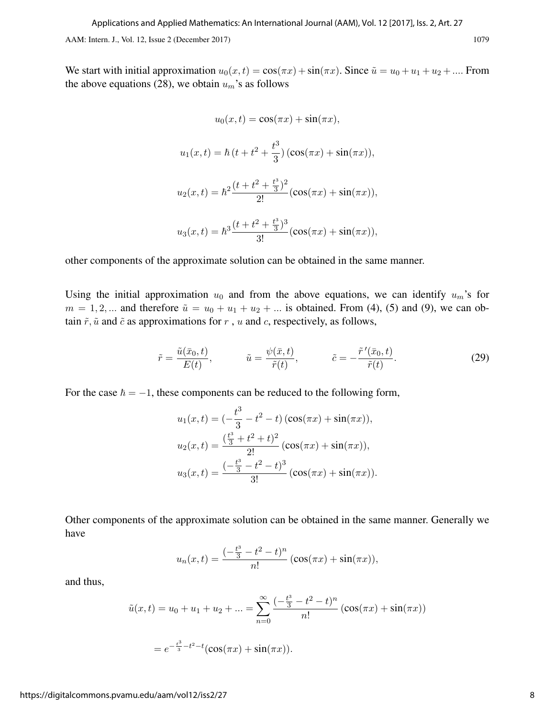We start with initial approximation  $u_0(x, t) = \cos(\pi x) + \sin(\pi x)$ . Since  $\tilde{u} = u_0 + u_1 + u_2 + \dots$  From the above equations (28), we obtain  $u_m$ 's as follows

$$
u_0(x,t) = \cos(\pi x) + \sin(\pi x),
$$

$$
u_1(x,t) = \hbar (t + t^2 + \frac{t^3}{3}) (\cos(\pi x) + \sin(\pi x)),
$$

$$
u_2(x,t) = \hbar^2 \frac{(t + t^2 + \frac{t^3}{3})^2}{2!} (\cos(\pi x) + \sin(\pi x)),
$$

$$
u_3(x,t) = \hbar^3 \frac{(t + t^2 + \frac{t^3}{3})^3}{3!} (\cos(\pi x) + \sin(\pi x)),
$$

other components of the approximate solution can be obtained in the same manner.

Using the initial approximation  $u_0$  and from the above equations, we can identify  $u_m$ 's for  $m = 1, 2, \dots$  and therefore  $\tilde{u} = u_0 + u_1 + u_2 + \dots$  is obtained. From (4), (5) and (9), we can obtain  $\tilde{r}$ ,  $\tilde{u}$  and  $\tilde{c}$  as approximations for r, u and c, respectively, as follows,

$$
\tilde{r} = \frac{\tilde{u}(\bar{x}_0, t)}{E(t)}, \qquad \tilde{u} = \frac{\psi(\bar{x}, t)}{\tilde{r}(t)}, \qquad \tilde{c} = -\frac{\tilde{r}'(\bar{x}_0, t)}{\tilde{r}(t)}.
$$
\n(29)

For the case  $\hbar = -1$ , these components can be reduced to the following form,

$$
u_1(x,t) = \left(-\frac{t^3}{3} - t^2 - t\right) \left(\cos(\pi x) + \sin(\pi x)\right),
$$
  
\n
$$
u_2(x,t) = \frac{\left(\frac{t^3}{3} + t^2 + t\right)^2}{2!} \left(\cos(\pi x) + \sin(\pi x)\right),
$$
  
\n
$$
u_3(x,t) = \frac{\left(-\frac{t^3}{3} - t^2 - t\right)^3}{3!} \left(\cos(\pi x) + \sin(\pi x)\right).
$$

Other components of the approximate solution can be obtained in the same manner. Generally we have

$$
u_n(x,t) = \frac{(-\frac{t^3}{3} - t^2 - t)^n}{n!} (\cos(\pi x) + \sin(\pi x)),
$$

and thus,

$$
\tilde{u}(x,t) = u_0 + u_1 + u_2 + \dots = \sum_{n=0}^{\infty} \frac{(-\frac{t^3}{3} - t^2 - t)^n}{n!} (\cos(\pi x) + \sin(\pi x))
$$

$$
= e^{-\frac{t^3}{3} - t^2 - t} (\cos(\pi x) + \sin(\pi x)).
$$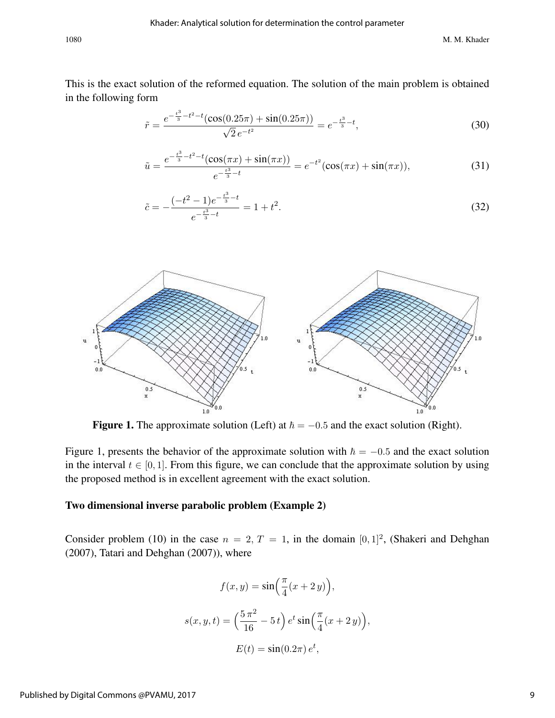This is the exact solution of the reformed equation. The solution of the main problem is obtained in the following form

$$
\tilde{r} = \frac{e^{-\frac{t^3}{3} - t^2 - t} (\cos(0.25\pi) + \sin(0.25\pi))}{\sqrt{2} e^{-t^2}} = e^{-\frac{t^3}{3} - t},\tag{30}
$$

$$
\tilde{u} = \frac{e^{-\frac{t^3}{3} - t^2 - t} (\cos(\pi x) + \sin(\pi x))}{e^{-\frac{t^3}{3} - t}} = e^{-t^2} (\cos(\pi x) + \sin(\pi x)),\tag{31}
$$

$$
\tilde{c} = -\frac{(-t^2 - 1)e^{-\frac{t^3}{3} - t}}{e^{-\frac{t^3}{3} - t}} = 1 + t^2.
$$
\n(32)



**Figure 1.** The approximate solution (Left) at  $\hbar = -0.5$  and the exact solution (Right).

Figure 1, presents the behavior of the approximate solution with  $\hbar = -0.5$  and the exact solution in the interval  $t \in [0, 1]$ . From this figure, we can conclude that the approximate solution by using the proposed method is in excellent agreement with the exact solution.

#### Two dimensional inverse parabolic problem (Example 2)

Consider problem (10) in the case  $n = 2, T = 1$ , in the domain [0, 1]<sup>2</sup>, (Shakeri and Dehghan (2007), Tatari and Dehghan (2007)), where

$$
f(x,y) = \sin\left(\frac{\pi}{4}(x+2y)\right),
$$

$$
s(x,y,t) = \left(\frac{5\pi^2}{16} - 5t\right)e^t\sin\left(\frac{\pi}{4}(x+2y)\right)
$$

$$
E(t) = \sin(0.2\pi)e^t,
$$

,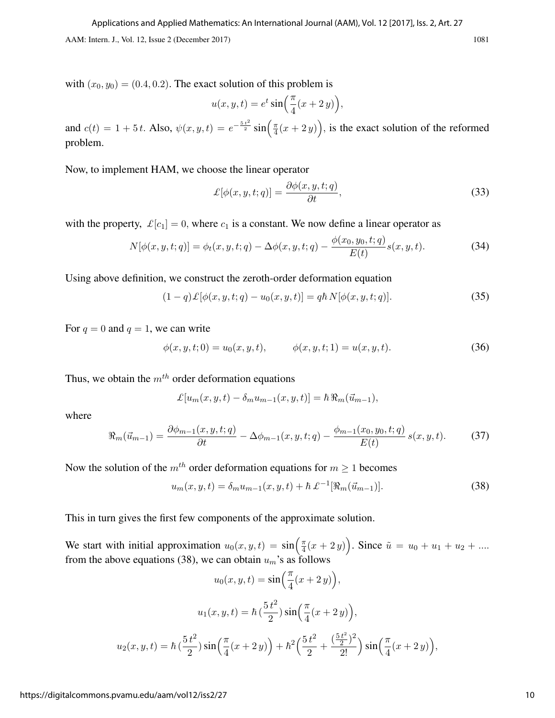with  $(x_0, y_0) = (0.4, 0.2)$ . The exact solution of this problem is

$$
u(x, y, t) = e^t \sin\left(\frac{\pi}{4}(x+2y)\right),
$$

and  $c(t) = 1 + 5t$ . Also,  $\psi(x, y, t) = e^{-\frac{5t^2}{2}} \sin{\left(\frac{\pi}{4}\right)}$  $\frac{\pi}{4}(x+2y)$ , is the exact solution of the reformed problem.

Now, to implement HAM, we choose the linear operator

$$
\mathcal{L}[\phi(x, y, t; q)] = \frac{\partial \phi(x, y, t; q)}{\partial t},\tag{33}
$$

with the property,  $\mathcal{L}[c_1] = 0$ , where  $c_1$  is a constant. We now define a linear operator as

$$
N[\phi(x, y, t; q)] = \phi_t(x, y, t; q) - \Delta\phi(x, y, t; q) - \frac{\phi(x_0, y_0, t; q)}{E(t)}s(x, y, t).
$$
 (34)

Using above definition, we construct the zeroth-order deformation equation

$$
(1-q)\mathcal{L}[\phi(x,y,t;q) - u_0(x,y,t)] = q\hbar N[\phi(x,y,t;q)].
$$
\n(35)

For  $q = 0$  and  $q = 1$ , we can write

$$
\phi(x, y, t; 0) = u_0(x, y, t), \qquad \phi(x, y, t; 1) = u(x, y, t). \tag{36}
$$

Thus, we obtain the  $m<sup>th</sup>$  order deformation equations

$$
\pounds[u_m(x,y,t)-\delta_mu_{m-1}(x,y,t)]=\hbar\,\Re_m(\vec{u}_{m-1}),
$$

where

$$
\Re_m(\vec{u}_{m-1}) = \frac{\partial \phi_{m-1}(x, y, t; q)}{\partial t} - \Delta \phi_{m-1}(x, y, t; q) - \frac{\phi_{m-1}(x_0, y_0, t; q)}{E(t)} s(x, y, t).
$$
(37)

Now the solution of the  $m<sup>th</sup>$  order deformation equations for  $m \ge 1$  becomes

$$
u_m(x, y, t) = \delta_m u_{m-1}(x, y, t) + \hbar \mathcal{L}^{-1}[\Re_m(\vec{u}_{m-1})].
$$
\n(38)

This in turn gives the first few components of the approximate solution.

We start with initial approximation  $u_0(x, y, t) = \sin\left(\frac{\pi}{4}\right)$  $\frac{\pi}{4}(x+2y)$ . Since  $\tilde{u} = u_0 + u_1 + u_2 + \dots$ from the above equations (38), we can obtain  $u_m$ 's as follows

$$
u_0(x, y, t) = \sin\left(\frac{\pi}{4}(x+2y)\right),
$$

$$
u_1(x, y, t) = \hbar\left(\frac{5t^2}{2}\right)\sin\left(\frac{\pi}{4}(x+2y)\right),
$$

$$
u_2(x, y, t) = \hbar\left(\frac{5t^2}{2}\right)\sin\left(\frac{\pi}{4}(x+2y)\right) + \hbar^2\left(\frac{5t^2}{2} + \frac{\left(\frac{5t^2}{2}\right)^2}{2!}\right)\sin\left(\frac{\pi}{4}(x+2y)\right),
$$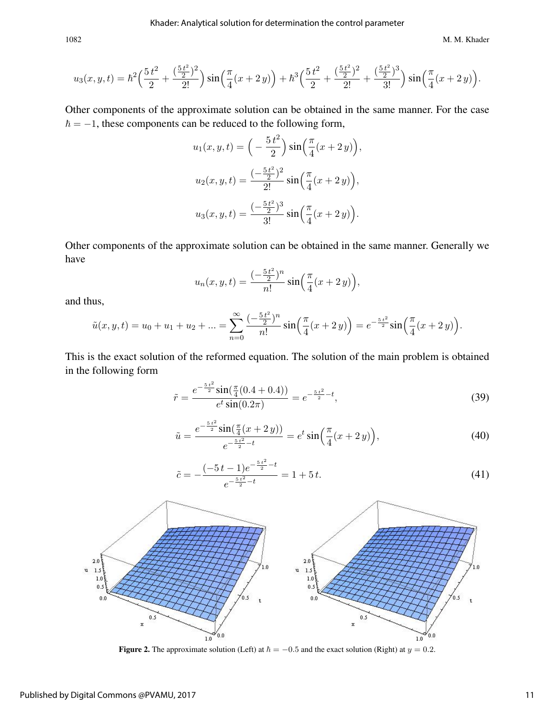1082 M. M. Khader

$$
u_3(x,y,t) = \hbar^2 \left(\frac{5t^2}{2} + \frac{(\frac{5t^2}{2})^2}{2!}\right) \sin\left(\frac{\pi}{4}(x+2y)\right) + \hbar^3 \left(\frac{5t^2}{2} + \frac{(\frac{5t^2}{2})^2}{2!} + \frac{(\frac{5t^2}{2})^3}{3!}\right) \sin\left(\frac{\pi}{4}(x+2y)\right).
$$

Other components of the approximate solution can be obtained in the same manner. For the case  $\hbar = -1$ , these components can be reduced to the following form,

$$
u_1(x, y, t) = \left(-\frac{5t^2}{2}\right) \sin\left(\frac{\pi}{4}(x+2y)\right),
$$
  
\n
$$
u_2(x, y, t) = \frac{(-\frac{5t^2}{2})^2}{2!} \sin\left(\frac{\pi}{4}(x+2y)\right),
$$
  
\n
$$
u_3(x, y, t) = \frac{(-\frac{5t^2}{2})^3}{3!} \sin\left(\frac{\pi}{4}(x+2y)\right).
$$

Other components of the approximate solution can be obtained in the same manner. Generally we have

$$
u_n(x, y, t) = \frac{(-\frac{5t^2}{2})^n}{n!} \sin\left(\frac{\pi}{4}(x+2y)\right),
$$

and thus,

$$
\tilde{u}(x, y, t) = u_0 + u_1 + u_2 + \dots = \sum_{n=0}^{\infty} \frac{(-\frac{5t^2}{2})^n}{n!} \sin\left(\frac{\pi}{4}(x+2y)\right) = e^{-\frac{5t^2}{2}} \sin\left(\frac{\pi}{4}(x+2y)\right).
$$

This is the exact solution of the reformed equation. The solution of the main problem is obtained in the following form

$$
\tilde{r} = \frac{e^{-\frac{5t^2}{2}} \sin(\frac{\pi}{4}(0.4 + 0.4))}{e^t \sin(0.2\pi)} = e^{-\frac{5t^2}{2} - t},\tag{39}
$$

$$
\tilde{u} = \frac{e^{-\frac{5t^2}{2}} \sin(\frac{\pi}{4}(x+2y))}{e^{-\frac{5t^2}{2}-t}} = e^t \sin\left(\frac{\pi}{4}(x+2y)\right),\tag{40}
$$

$$
\tilde{c} = -\frac{(-5t-1)e^{-\frac{5t^2}{2}-t}}{e^{-\frac{5t^2}{2}-t}} = 1+5t.
$$
\n(41)



Figure 2. The approximate solution (Left) at  $\hbar = -0.5$  and the exact solution (Right) at  $y = 0.2$ .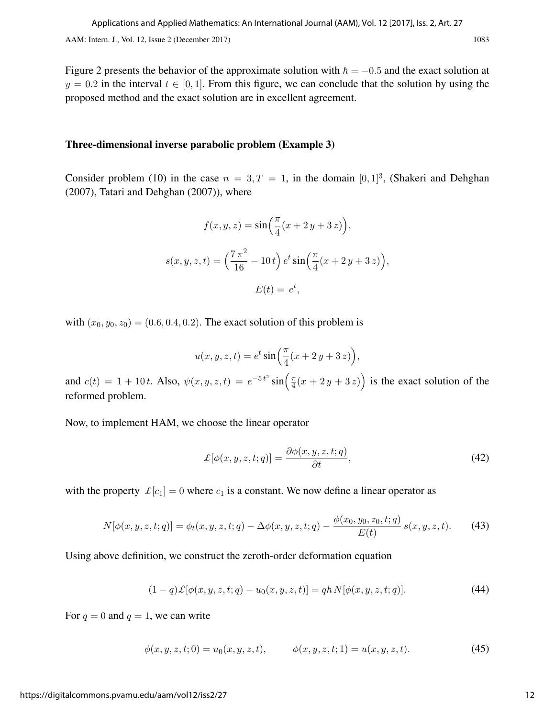Figure 2 presents the behavior of the approximate solution with  $\hbar = -0.5$  and the exact solution at  $y = 0.2$  in the interval  $t \in [0, 1]$ . From this figure, we can conclude that the solution by using the proposed method and the exact solution are in excellent agreement.

#### Three-dimensional inverse parabolic problem (Example 3)

Consider problem (10) in the case  $n = 3, T = 1$ , in the domain [0, 1]<sup>3</sup>, (Shakeri and Dehghan (2007), Tatari and Dehghan (2007)), where

$$
f(x, y, z) = \sin\left(\frac{\pi}{4}(x + 2y + 3z)\right),
$$

$$
s(x, y, z, t) = \left(\frac{7\pi^2}{16} - 10t\right) e^t \sin\left(\frac{\pi}{4}(x + 2y + 3z)\right),
$$

$$
E(t) = e^t,
$$

with  $(x_0, y_0, z_0) = (0.6, 0.4, 0.2)$ . The exact solution of this problem is

$$
u(x, y, z, t) = e^t \sin\left(\frac{\pi}{4}(x + 2y + 3z)\right),
$$

and  $c(t) = 1 + 10t$ . Also,  $\psi(x, y, z, t) = e^{-5t^2} \sin(\frac{\pi}{4})$  $\frac{\pi}{4}(x+2y+3z)$  is the exact solution of the reformed problem.

Now, to implement HAM, we choose the linear operator

$$
\mathcal{L}[\phi(x, y, z, t; q)] = \frac{\partial \phi(x, y, z, t; q)}{\partial t},\tag{42}
$$

with the property  $\mathcal{L}[c_1] = 0$  where  $c_1$  is a constant. We now define a linear operator as

$$
N[\phi(x, y, z, t; q)] = \phi_t(x, y, z, t; q) - \Delta\phi(x, y, z, t; q) - \frac{\phi(x_0, y_0, z_0, t; q)}{E(t)} s(x, y, z, t).
$$
 (43)

Using above definition, we construct the zeroth-order deformation equation

$$
(1-q)\mathcal{L}[\phi(x,y,z,t;q) - u_0(x,y,z,t)] = q\hbar N[\phi(x,y,z,t;q)].
$$
\n(44)

For  $q = 0$  and  $q = 1$ , we can write

$$
\phi(x, y, z, t; 0) = u_0(x, y, z, t), \qquad \phi(x, y, z, t; 1) = u(x, y, z, t). \tag{45}
$$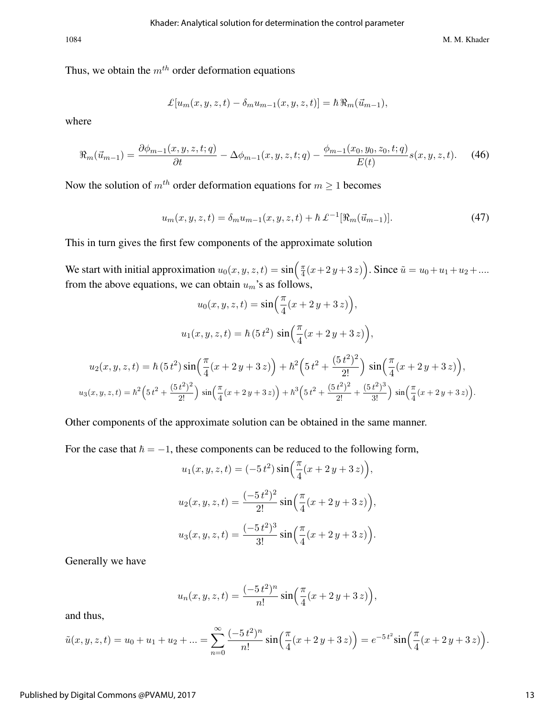1084 M. M. Khader

Thus, we obtain the  $m<sup>th</sup>$  order deformation equations

$$
\pounds[u_m(x, y, z, t) - \delta_m u_{m-1}(x, y, z, t)] = \hbar \Re_m(\vec{u}_{m-1}),
$$

where

$$
\Re_m(\vec{u}_{m-1}) = \frac{\partial \phi_{m-1}(x, y, z, t; q)}{\partial t} - \Delta \phi_{m-1}(x, y, z, t; q) - \frac{\phi_{m-1}(x_0, y_0, z_0, t; q)}{E(t)} s(x, y, z, t). \tag{46}
$$

Now the solution of  $m<sup>th</sup>$  order deformation equations for  $m \geq 1$  becomes

$$
u_m(x, y, z, t) = \delta_m u_{m-1}(x, y, z, t) + \hbar \mathcal{L}^{-1}[\Re_m(\vec{u}_{m-1})].
$$
\n(47)

This in turn gives the first few components of the approximate solution

We start with initial approximation  $u_0(x, y, z, t) = \sin\left(\frac{\pi}{4}\right)$  $\frac{\pi}{4}(x+2y+3z)$ . Since  $\tilde{u} = u_0 + u_1 + u_2 + ...$ from the above equations, we can obtain  $u_m$ 's as follows,

$$
u_0(x, y, z, t) = \sin\left(\frac{\pi}{4}(x + 2y + 3z)\right),
$$
  

$$
u_1(x, y, z, t) = \hbar (5t^2) \sin\left(\frac{\pi}{4}(x + 2y + 3z)\right),
$$
  

$$
u_2(x, y, z, t) = \hbar (5t^2) \sin\left(\frac{\pi}{4}(x + 2y + 3z)\right) + \hbar^2 \left(5t^2 + \frac{(5t^2)^2}{2!}\right) \sin\left(\frac{\pi}{4}(x + 2y + 3z)\right),
$$
  

$$
u_3(x, y, z, t) = \hbar^2 \left(5t^2 + \frac{(5t^2)^2}{2!}\right) \sin\left(\frac{\pi}{4}(x + 2y + 3z)\right) + \hbar^3 \left(5t^2 + \frac{(5t^2)^2}{2!} + \frac{(5t^2)^3}{3!}\right) \sin\left(\frac{\pi}{4}(x + 2y + 3z)\right).
$$

Other components of the approximate solution can be obtained in the same manner.

For the case that  $\hbar = -1$ , these components can be reduced to the following form,

$$
u_1(x, y, z, t) = (-5t^2) \sin\left(\frac{\pi}{4}(x + 2y + 3z)\right),
$$
  

$$
u_2(x, y, z, t) = \frac{(-5t^2)^2}{2!} \sin\left(\frac{\pi}{4}(x + 2y + 3z)\right),
$$
  

$$
u_3(x, y, z, t) = \frac{(-5t^2)^3}{3!} \sin\left(\frac{\pi}{4}(x + 2y + 3z)\right).
$$

Generally we have

$$
u_n(x, y, z, t) = \frac{(-5t^2)^n}{n!} \sin\left(\frac{\pi}{4}(x+2y+3z)\right),
$$

and thus,

$$
\tilde{u}(x, y, z, t) = u_0 + u_1 + u_2 + \dots = \sum_{n=0}^{\infty} \frac{(-5t^2)^n}{n!} \sin\left(\frac{\pi}{4}(x+2y+3z)\right) = e^{-5t^2} \sin\left(\frac{\pi}{4}(x+2y+3z)\right).
$$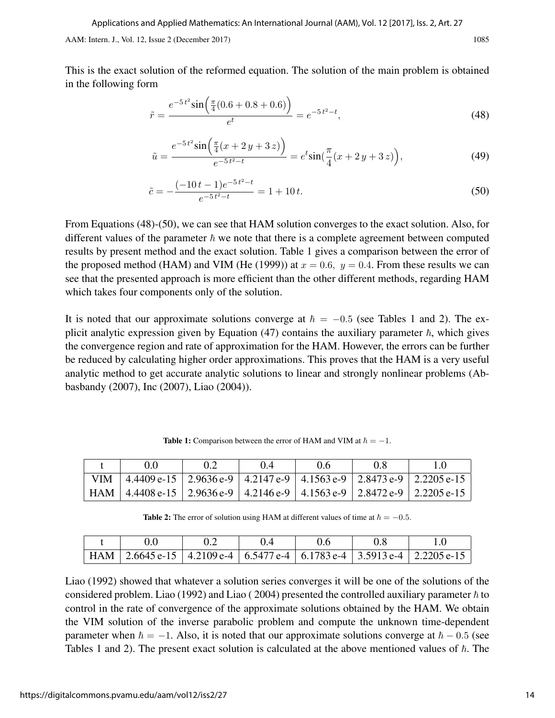This is the exact solution of the reformed equation. The solution of the main problem is obtained in the following form

$$
\tilde{r} = \frac{e^{-5t^2} \sin\left(\frac{\pi}{4}(0.6 + 0.8 + 0.6)\right)}{e^t} = e^{-5t^2 - t},\tag{48}
$$

$$
\tilde{u} = \frac{e^{-5t^2} \sin\left(\frac{\pi}{4}(x+2y+3z)\right)}{e^{-5t^2 - t}} = e^t \sin\left(\frac{\pi}{4}(x+2y+3z)\right),\tag{49}
$$

$$
\tilde{c} = -\frac{(-10t - 1)e^{-5t^2 - t}}{e^{-5t^2 - t}} = 1 + 10t.
$$
\n(50)

From Equations (48)-(50), we can see that HAM solution converges to the exact solution. Also, for different values of the parameter  $\hbar$  we note that there is a complete agreement between computed results by present method and the exact solution. Table 1 gives a comparison between the error of the proposed method (HAM) and VIM (He (1999)) at  $x = 0.6$ ,  $y = 0.4$ . From these results we can see that the presented approach is more efficient than the other different methods, regarding HAM which takes four components only of the solution.

It is noted that our approximate solutions converge at  $\hbar = -0.5$  (see Tables 1 and 2). The explicit analytic expression given by Equation (47) contains the auxiliary parameter  $\hbar$ , which gives the convergence region and rate of approximation for the HAM. However, the errors can be further be reduced by calculating higher order approximations. This proves that the HAM is a very useful analytic method to get accurate analytic solutions to linear and strongly nonlinear problems (Abbasbandy (2007), Inc (2007), Liao (2004)).

| (1)                                                                                             | $\theta$ 4 | ጠ6 | 0.X |  |
|-------------------------------------------------------------------------------------------------|------------|----|-----|--|
| VIM   $4.4409$ e-15   $2.9636$ e-9   $4.2147$ e-9   $4.1563$ e-9   $2.8473$ e-9   $2.2205$ e-15 |            |    |     |  |
| HAM   4.4408 e-15   2.9636 e-9   4.2146 e-9   4.1563 e-9   2.8472 e-9   2.2205 e-15             |            |    |     |  |

**Table 1:** Comparison between the error of HAM and VIM at  $\hbar = -1$ .

Table 2: The error of solution using HAM at different values of time at  $\hbar = -0.5$ .

|  | (14) | 0.6 |                                                                                     |
|--|------|-----|-------------------------------------------------------------------------------------|
|  |      |     | HAM   2.6645 e-15   4.2109 e-4   6.5477 e-4   6.1783 e-4   3.5913 e-4   2.2205 e-15 |

Liao (1992) showed that whatever a solution series converges it will be one of the solutions of the considered problem. Liao (1992) and Liao (2004) presented the controlled auxiliary parameter  $\hbar$  to control in the rate of convergence of the approximate solutions obtained by the HAM. We obtain the VIM solution of the inverse parabolic problem and compute the unknown time-dependent parameter when  $\hbar = -1$ . Also, it is noted that our approximate solutions converge at  $\hbar - 0.5$  (see Tables 1 and 2). The present exact solution is calculated at the above mentioned values of  $\hbar$ . The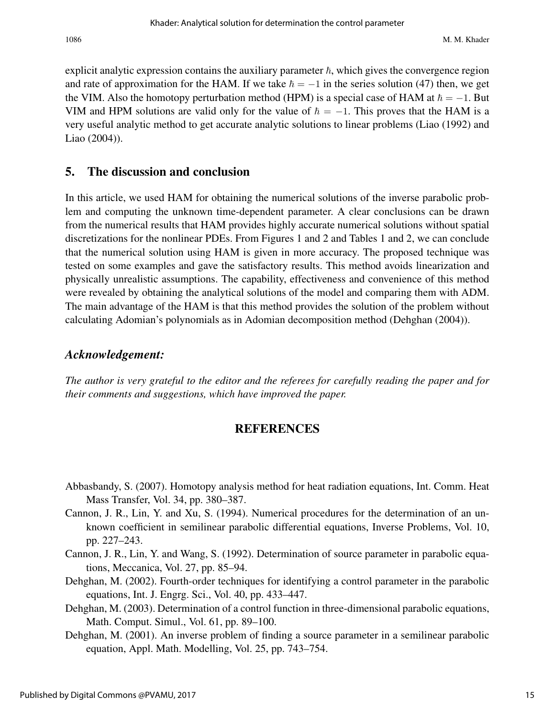explicit analytic expression contains the auxiliary parameter  $\hbar$ , which gives the convergence region and rate of approximation for the HAM. If we take  $\hbar = -1$  in the series solution (47) then, we get the VIM. Also the homotopy perturbation method (HPM) is a special case of HAM at  $\hbar = -1$ . But VIM and HPM solutions are valid only for the value of  $\hbar = -1$ . This proves that the HAM is a very useful analytic method to get accurate analytic solutions to linear problems (Liao (1992) and Liao (2004)).

## 5. The discussion and conclusion

In this article, we used HAM for obtaining the numerical solutions of the inverse parabolic problem and computing the unknown time-dependent parameter. A clear conclusions can be drawn from the numerical results that HAM provides highly accurate numerical solutions without spatial discretizations for the nonlinear PDEs. From Figures 1 and 2 and Tables 1 and 2, we can conclude that the numerical solution using HAM is given in more accuracy. The proposed technique was tested on some examples and gave the satisfactory results. This method avoids linearization and physically unrealistic assumptions. The capability, effectiveness and convenience of this method were revealed by obtaining the analytical solutions of the model and comparing them with ADM. The main advantage of the HAM is that this method provides the solution of the problem without calculating Adomian's polynomials as in Adomian decomposition method (Dehghan (2004)).

### *Acknowledgement:*

*The author is very grateful to the editor and the referees for carefully reading the paper and for their comments and suggestions, which have improved the paper.*

## **REFERENCES**

- Abbasbandy, S. (2007). Homotopy analysis method for heat radiation equations, Int. Comm. Heat Mass Transfer, Vol. 34, pp. 380–387.
- Cannon, J. R., Lin, Y. and Xu, S. (1994). Numerical procedures for the determination of an unknown coefficient in semilinear parabolic differential equations, Inverse Problems, Vol. 10, pp. 227–243.
- Cannon, J. R., Lin, Y. and Wang, S. (1992). Determination of source parameter in parabolic equations, Meccanica, Vol. 27, pp. 85–94.
- Dehghan, M. (2002). Fourth-order techniques for identifying a control parameter in the parabolic equations, Int. J. Engrg. Sci., Vol. 40, pp. 433–447.
- Dehghan, M. (2003). Determination of a control function in three-dimensional parabolic equations, Math. Comput. Simul., Vol. 61, pp. 89–100.
- Dehghan, M. (2001). An inverse problem of finding a source parameter in a semilinear parabolic equation, Appl. Math. Modelling, Vol. 25, pp. 743–754.